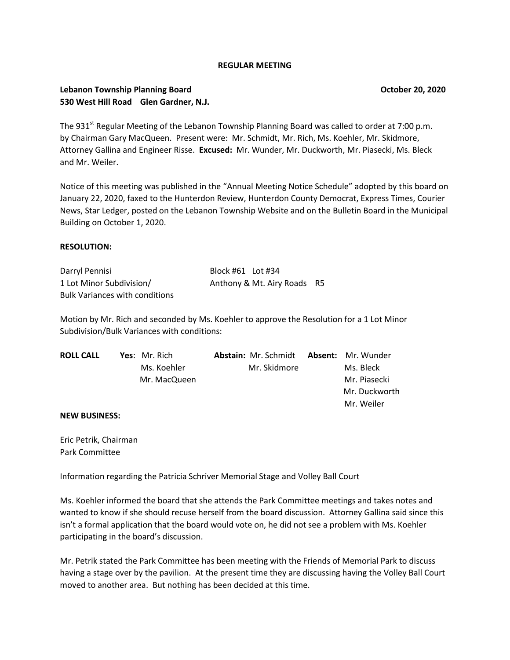### **REGULAR MEETING**

### **Lebanon Township Planning Board Community Community Community Community Community Community Community Community Community Community Community Community Community Community Community Community Community Community Community 530 West Hill Road Glen Gardner, N.J.**

The 931<sup>st</sup> Regular Meeting of the Lebanon Township Planning Board was called to order at 7:00 p.m. by Chairman Gary MacQueen. Present were: Mr. Schmidt, Mr. Rich, Ms. Koehler, Mr. Skidmore, Attorney Gallina and Engineer Risse. **Excused:** Mr. Wunder, Mr. Duckworth, Mr. Piasecki, Ms. Bleck and Mr. Weiler.

Notice of this meeting was published in the "Annual Meeting Notice Schedule" adopted by this board on January 22, 2020, faxed to the Hunterdon Review, Hunterdon County Democrat, Express Times, Courier News, Star Ledger, posted on the Lebanon Township Website and on the Bulletin Board in the Municipal Building on October 1, 2020.

### **RESOLUTION:**

| Darryl Pennisi                        | Block #61 Lot #34           |  |
|---------------------------------------|-----------------------------|--|
| 1 Lot Minor Subdivision/              | Anthony & Mt. Airy Roads R5 |  |
| <b>Bulk Variances with conditions</b> |                             |  |

Motion by Mr. Rich and seconded by Ms. Koehler to approve the Resolution for a 1 Lot Minor Subdivision/Bulk Variances with conditions:

| <b>ROLL CALL</b> | Yes: Mr. Rich | <b>Abstain:</b> Mr. Schmidt <b>Absent:</b> Mr. Wunder |               |
|------------------|---------------|-------------------------------------------------------|---------------|
|                  | Ms. Koehler   | Mr. Skidmore                                          | Ms. Bleck     |
|                  | Mr. MacQueen  |                                                       | Mr. Piasecki  |
|                  |               |                                                       | Mr. Duckworth |
|                  |               |                                                       | Mr. Weiler    |

#### **NEW BUSINESS:**

Eric Petrik, Chairman Park Committee

Information regarding the Patricia Schriver Memorial Stage and Volley Ball Court

Ms. Koehler informed the board that she attends the Park Committee meetings and takes notes and wanted to know if she should recuse herself from the board discussion. Attorney Gallina said since this isn't a formal application that the board would vote on, he did not see a problem with Ms. Koehler participating in the board's discussion.

Mr. Petrik stated the Park Committee has been meeting with the Friends of Memorial Park to discuss having a stage over by the pavilion. At the present time they are discussing having the Volley Ball Court moved to another area. But nothing has been decided at this time.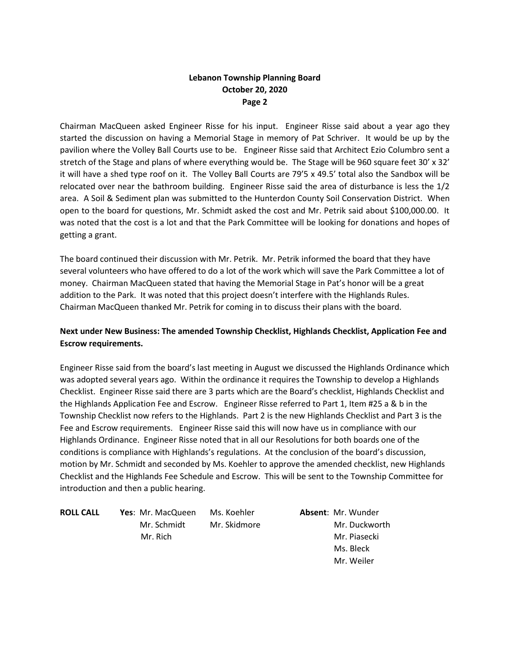## **Lebanon Township Planning Board October 20, 2020 Page 2**

Chairman MacQueen asked Engineer Risse for his input. Engineer Risse said about a year ago they started the discussion on having a Memorial Stage in memory of Pat Schriver. It would be up by the pavilion where the Volley Ball Courts use to be. Engineer Risse said that Architect Ezio Columbro sent a stretch of the Stage and plans of where everything would be. The Stage will be 960 square feet 30' x 32' it will have a shed type roof on it. The Volley Ball Courts are 79'5 x 49.5' total also the Sandbox will be relocated over near the bathroom building. Engineer Risse said the area of disturbance is less the 1/2 area. A Soil & Sediment plan was submitted to the Hunterdon County Soil Conservation District. When open to the board for questions, Mr. Schmidt asked the cost and Mr. Petrik said about \$100,000.00. It was noted that the cost is a lot and that the Park Committee will be looking for donations and hopes of getting a grant.

The board continued their discussion with Mr. Petrik. Mr. Petrik informed the board that they have several volunteers who have offered to do a lot of the work which will save the Park Committee a lot of money. Chairman MacQueen stated that having the Memorial Stage in Pat's honor will be a great addition to the Park. It was noted that this project doesn't interfere with the Highlands Rules. Chairman MacQueen thanked Mr. Petrik for coming in to discuss their plans with the board.

### **Next under New Business: The amended Township Checklist, Highlands Checklist, Application Fee and Escrow requirements.**

Engineer Risse said from the board's last meeting in August we discussed the Highlands Ordinance which was adopted several years ago. Within the ordinance it requires the Township to develop a Highlands Checklist. Engineer Risse said there are 3 parts which are the Board's checklist, Highlands Checklist and the Highlands Application Fee and Escrow. Engineer Risse referred to Part 1, Item #25 a & b in the Township Checklist now refers to the Highlands. Part 2 is the new Highlands Checklist and Part 3 is the Fee and Escrow requirements. Engineer Risse said this will now have us in compliance with our Highlands Ordinance. Engineer Risse noted that in all our Resolutions for both boards one of the conditions is compliance with Highlands's regulations. At the conclusion of the board's discussion, motion by Mr. Schmidt and seconded by Ms. Koehler to approve the amended checklist, new Highlands Checklist and the Highlands Fee Schedule and Escrow. This will be sent to the Township Committee for introduction and then a public hearing.

**ROLL CALL Yes**: Mr. MacQueen Ms. Koehler **Absent**: Mr. Wunder Mr. Schmidt Mr. Skidmore Mr. Duckworth Mr. Rich Mr. Piasecki

 Ms. Bleck Mr. Weiler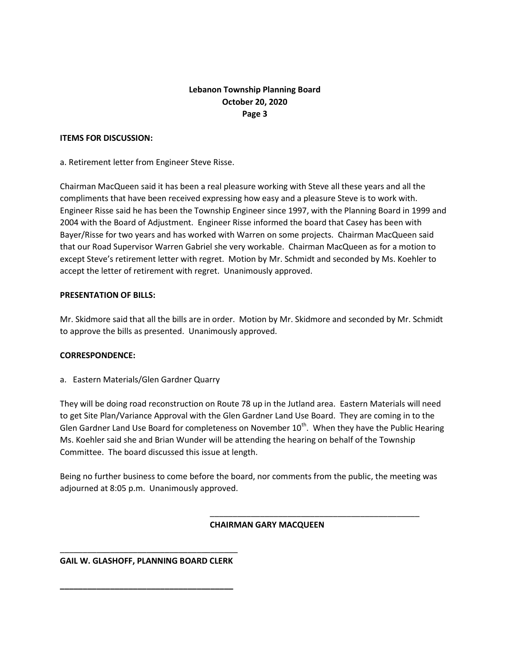## **Lebanon Township Planning Board October 20, 2020 Page 3**

### **ITEMS FOR DISCUSSION:**

a. Retirement letter from Engineer Steve Risse.

Chairman MacQueen said it has been a real pleasure working with Steve all these years and all the compliments that have been received expressing how easy and a pleasure Steve is to work with. Engineer Risse said he has been the Township Engineer since 1997, with the Planning Board in 1999 and 2004 with the Board of Adjustment. Engineer Risse informed the board that Casey has been with Bayer/Risse for two years and has worked with Warren on some projects. Chairman MacQueen said that our Road Supervisor Warren Gabriel she very workable. Chairman MacQueen as for a motion to except Steve's retirement letter with regret. Motion by Mr. Schmidt and seconded by Ms. Koehler to accept the letter of retirement with regret. Unanimously approved.

### **PRESENTATION OF BILLS:**

Mr. Skidmore said that all the bills are in order. Motion by Mr. Skidmore and seconded by Mr. Schmidt to approve the bills as presented. Unanimously approved.

### **CORRESPONDENCE:**

a. Eastern Materials/Glen Gardner Quarry

They will be doing road reconstruction on Route 78 up in the Jutland area. Eastern Materials will need to get Site Plan/Variance Approval with the Glen Gardner Land Use Board. They are coming in to the Glen Gardner Land Use Board for completeness on November  $10^{th}$ . When they have the Public Hearing Ms. Koehler said she and Brian Wunder will be attending the hearing on behalf of the Township Committee. The board discussed this issue at length.

Being no further business to come before the board, nor comments from the public, the meeting was adjourned at 8:05 p.m. Unanimously approved.

#### **CHAIRMAN GARY MACQUEEN**

\_\_\_\_\_\_\_\_\_\_\_\_\_\_\_\_\_\_\_\_\_\_\_\_\_\_\_\_\_\_\_\_\_\_\_\_\_\_\_\_\_\_\_\_\_\_

\_\_\_\_\_\_\_\_\_\_\_\_\_\_\_\_\_\_\_\_\_\_\_\_\_\_\_\_\_\_\_\_\_\_\_\_\_\_\_ **GAIL W. GLASHOFF, PLANNING BOARD CLERK**

**\_\_\_\_\_\_\_\_\_\_\_\_\_\_\_\_\_\_\_\_\_\_\_\_\_\_\_\_\_\_\_\_\_\_\_\_\_\_**